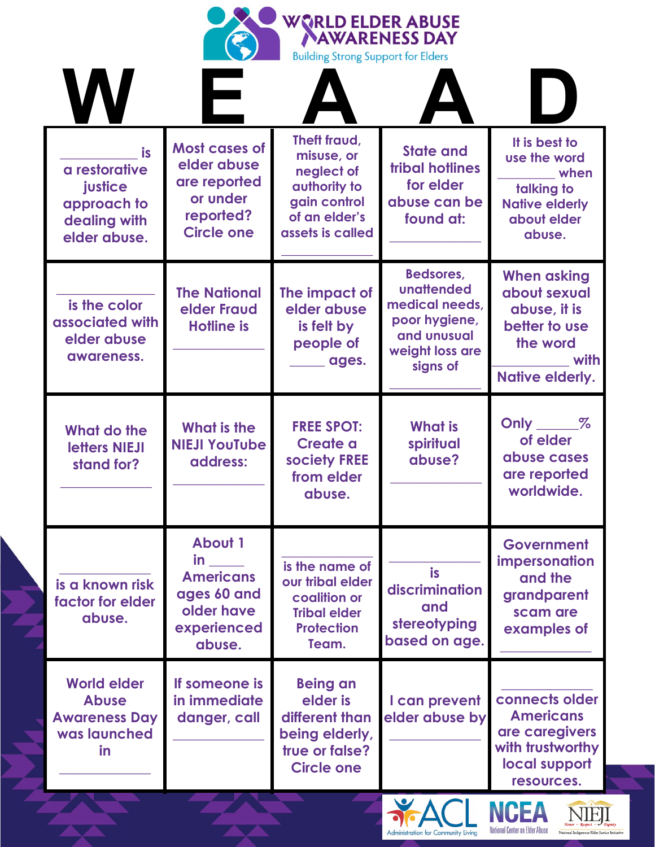|                                                                                  |                                                                                                       | <b>WORLD ELDER ABUSE</b><br><b>Building Strong Support for Elders</b>                                         | <b>AWARENESS DAY</b>                                                                                     |                                                                                                                   |
|----------------------------------------------------------------------------------|-------------------------------------------------------------------------------------------------------|---------------------------------------------------------------------------------------------------------------|----------------------------------------------------------------------------------------------------------|-------------------------------------------------------------------------------------------------------------------|
| is<br>a restorative<br>justice<br>approach to<br>dealing with<br>elder abuse.    | <b>Most cases of</b><br>elder abuse<br>are reported<br>or under<br>reported?<br><b>Circle one</b>     | Theft fraud,<br>misuse, or<br>neglect of<br>authority to<br>gain control<br>of an elder's<br>assets is called | <b>State and</b><br><b>tribal hotlines</b><br>for elder<br>abuse can be<br>found at:                     | It is best to<br>use the word<br>when<br>talking to<br><b>Native elderly</b><br>about elder<br>abuse.             |
| is the color<br>associated with<br>elder abuse<br>awareness.                     | <b>The National</b><br>elder Fraud<br><b>Hotline is</b>                                               | The impact of<br>elder abuse<br>is felt by<br>people of<br>ages.                                              | Bedsores,<br>unattended<br>medical needs,<br>poor hygiene,<br>and unusual<br>weight loss are<br>signs of | <b>When asking</b><br>about sexual<br>abuse, it is<br>better to use<br>the word<br>with<br><b>Native elderly.</b> |
| What do the<br>letters NIEJI<br>stand for?                                       | What is the<br><b>NIEJI YouTube</b><br>address:                                                       | <b>FREE SPOT:</b><br>Create a<br>society FREE<br>from elder<br>abuse.                                         | <b>What is</b><br>spiritual<br>abuse?                                                                    | Only $\_\_\_\_\_\$<br>of elder<br>abuse cases<br>are reported<br>worldwide.                                       |
| is a known risk<br>factor for elder<br>abuse.                                    | <b>About 1</b><br><b>in</b><br><b>Americans</b><br>ages 60 and<br>older have<br>experienced<br>abuse. | is the name of<br>our tribal elder<br>coalition or<br><b>Tribal elder</b><br><b>Protection</b><br>Team.       | is<br>discrimination<br>and<br>stereotyping<br>based on age.                                             | Government<br>impersonation<br>and the<br>grandparent<br>scam are<br>examples of                                  |
| <b>World elder</b><br><b>Abuse</b><br><b>Awareness Day</b><br>was launched<br>in | If someone is<br>in immediate<br>danger, call                                                         | <b>Being an</b><br>elder is<br>different than<br>being elderly,<br>true or false?<br><b>Circle one</b>        | I can prevent<br>elder abuse by                                                                          | connects older<br><b>Americans</b><br>are caregivers<br>with trustworthy<br>local support<br>resources.           |



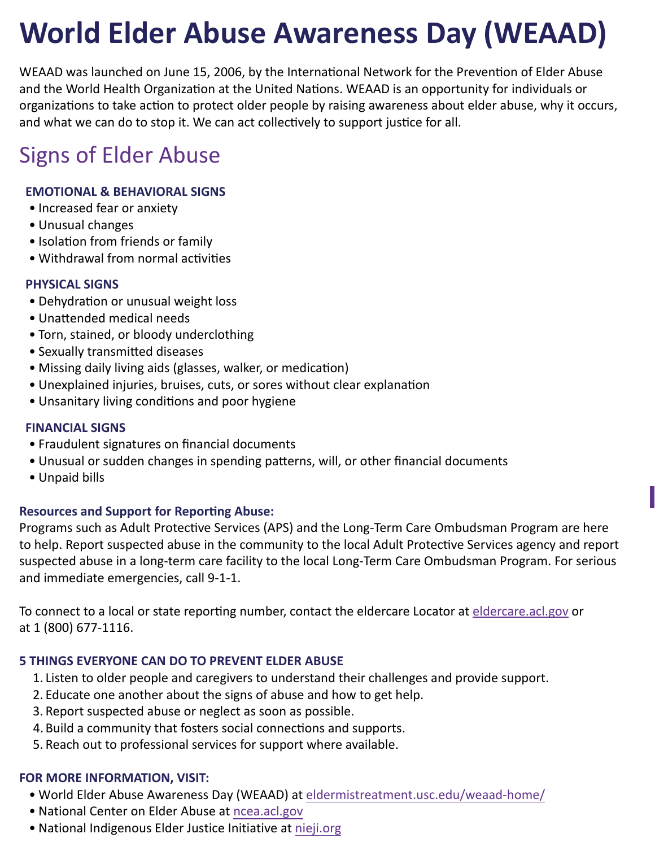# **World Elder Abuse Awareness Day (WEAAD)**

WEAAD was launched on June 15, 2006, by the International Network for the Prevention of Elder Abuse and the World Health Organization at the United Nations. WEAAD is an opportunity for individuals or organizations to take action to protect older people by raising awareness about elder abuse, why it occurs, and what we can do to stop it. We can act collectively to support justice for all.

# Signs of Elder Abuse

### **EMOTIONAL & BEHAVIORAL SIGNS**

- Increased fear or anxiety
- Unusual changes
- Isolation from friends or family
- Withdrawal from normal activities

#### **PHYSICAL SIGNS**

- Dehydration or unusual weight loss
- Unattended medical needs
- Torn, stained, or bloody underclothing
- Sexually transmitted diseases
- Missing daily living aids (glasses, walker, or medication)
- Unexplained injuries, bruises, cuts, or sores without clear explanation
- Unsanitary living conditions and poor hygiene

#### **FINANCIAL SIGNS**

- Fraudulent signatures on financial documents
- Unusual or sudden changes in spending patterns, will, or other financial documents
- Unpaid bills

#### **Resources and Support for Reporting Abuse:**

Programs such as Adult Protective Services (APS) and the Long-Term Care Ombudsman Program are here to help. Report suspected abuse in the community to the local Adult Protective Services agency and report suspected abuse in a long-term care facility to the local Long-Term Care Ombudsman Program. For serious and immediate emergencies, call 9-1-1.

**I** 

To connect to a local or state reporting number, contact the eldercare Locator at [eldercare.acl.gov](https://eldercare.acl.gov) or at 1 (800) 677-1116.

#### **5 THINGS EVERYONE CAN DO TO PREVENT ELDER ABUSE**

- 1. Listen to older people and caregivers to understand their challenges and provide support.
- 2. Educate one another about the signs of abuse and how to get help.
- 3. Report suspected abuse or neglect as soon as possible.
- 4.Build a community that fosters social connections and supports.
- 5. Reach out to professional services for support where available.

#### **FOR MORE INFORMATION, VISIT:**

- World Elder Abuse Awareness Day (WEAAD) at [eldermistreatment.usc.edu/weaad-home/](https://eldermistreatment.usc.edu/weaad-home)
- National Center on Elder Abuse at [ncea.acl.gov](https://ncea.acl.gov)
- National Indigenous Elder Justice Initiative at [nieji.org](www.nieji.org)